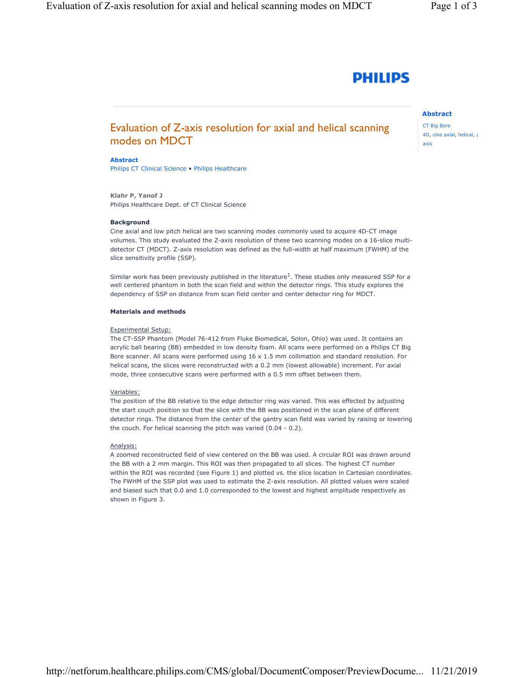# **PHILIPS**

# Abstract

CT Big Bore 4D, cine axial, helical, p axis

# Abstract

modes on MDCT

Philips CT Clinical Science • Philips Healthcare

Klahr P, Yanof J Philips Healthcare Dept. of CT Clinical Science

## **Background**

Cine axial and low pitch helical are two scanning modes commonly used to acquire 4D-CT image volumes. This study evaluated the Z-axis resolution of these two scanning modes on a 16-slice multidetector CT (MDCT). Z-axis resolution was defined as the full-width at half maximum (FWHM) of the slice sensitivity profile (SSP).

Evaluation of Z-axis resolution for axial and helical scanning

Similar work has been previously published in the literature<sup>1</sup>. These studies only measured SSP for a well centered phantom in both the scan field and within the detector rings. This study explores the dependency of SSP on distance from scan field center and center detector ring for MDCT.

# Materials and methods

### Experimental Setup:

The CT-SSP Phantom (Model 76-412 from Fluke Biomedical, Solon, Ohio) was used. It contains an acrylic ball bearing (BB) embedded in low density foam. All scans were performed on a Philips CT Big Bore scanner. All scans were performed using 16 x 1.5 mm collimation and standard resolution. For helical scans, the slices were reconstructed with a 0.2 mm (lowest allowable) increment. For axial mode, three consecutive scans were performed with a 0.5 mm offset between them.

## Variables:

The position of the BB relative to the edge detector ring was varied. This was effected by adjusting the start couch position so that the slice with the BB was positioned in the scan plane of different detector rings. The distance from the center of the gantry scan field was varied by raising or lowering the couch. For helical scanning the pitch was varied (0.04 - 0.2).

# Analysis:

A zoomed reconstructed field of view centered on the BB was used. A circular ROI was drawn around the BB with a 2 mm margin. This ROI was then propagated to all slices. The highest CT number within the ROI was recorded (see Figure 1) and plotted vs. the slice location in Cartesian coordinates. The FWHM of the SSP plot was used to estimate the Z-axis resolution. All plotted values were scaled and biased such that 0.0 and 1.0 corresponded to the lowest and highest amplitude respectively as shown in Figure 3.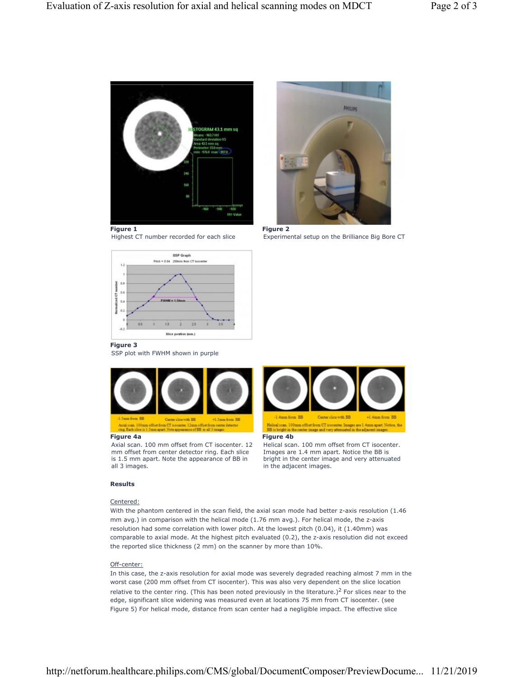

Figure 1 **Figure 2** 





Highest CT number recorded for each slice Experimental setup on the Brilliance Big Bore CT

## Figure 3

SSP plot with FWHM shown in purple



Axial scan. 100 mm offset from CT isocenter. 12 mm offset from center detector ring. Each slice is 1.5 mm apart. Note the appearance of BB in all 3 images.

## Results

# Centered:

With the phantom centered in the scan field, the axial scan mode had better z-axis resolution (1.46 mm avg.) in comparison with the helical mode (1.76 mm avg.). For helical mode, the z-axis resolution had some correlation with lower pitch. At the lowest pitch (0.04), it (1.40mm) was comparable to axial mode. At the highest pitch evaluated (0.2), the z-axis resolution did not exceed the reported slice thickness (2 mm) on the scanner by more than 10%.

# Off-center:

In this case, the z-axis resolution for axial mode was severely degraded reaching almost 7 mm in the worst case (200 mm offset from CT isocenter). This was also very dependent on the slice location relative to the center ring. (This has been noted previously in the literature.)<sup>2</sup> For slices near to the edge, significant slice widening was measured even at locations 75 mm from CT isocenter. (see Figure 5) For helical mode, distance from scan center had a negligible impact. The effective slice



### Figure 4a Figure 4b

Helical scan. 100 mm offset from CT isocenter. Images are 1.4 mm apart. Notice the BB is bright in the center image and very attenuated in the adjacent images.